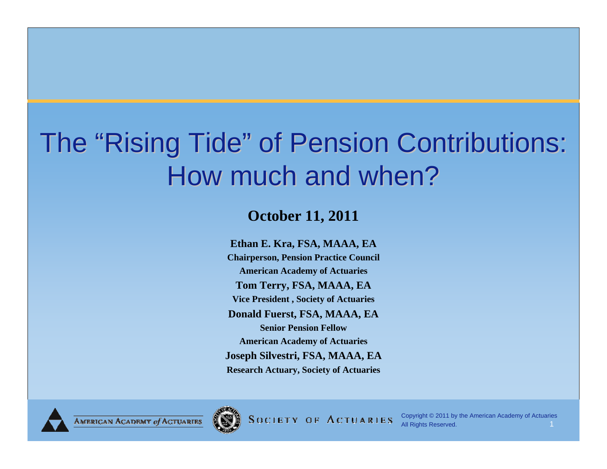# The "Rising Tide" of Pension Contributions: How much and when?

#### **October 11, 2011**

**Ethan E. Kra, FSA, MAAA, EA Chairperson, Pension Practice Council American Academy of Actuaries Tom Terry, FSA, MAAA, EA Vice President , Society of Actuaries Donald Fuerst, FSA, MAAA, EA Senior Pension FellowAmerican Academy of Actuaries Joseph Silvestri, FSA, MAAA, EA Research Actuary, Society of Actuaries**



**SOCIETY OF ACTUARIES** 

Copyright © 2011 by the American Academy of Actuaries All Rights Reserved. 1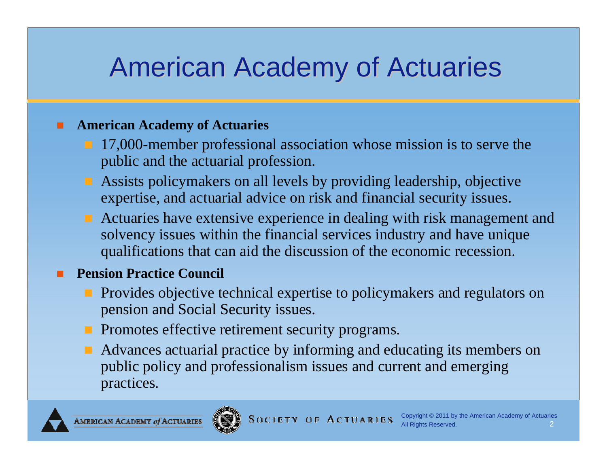#### American Academy of Actuaries

#### **American Academy of Actuaries**

- 17,000-member professional association whose mission is to serve the public and the actuarial profession.
- **Assists policymakers on all levels by providing leadership, objective** expertise, and actuarial advice on risk and financial security issues.
- **Actuaries have extensive experience in dealing with risk management and** solvency issues within the financial services industry and have unique qualifications that can aid the discussion of the economic recession.

#### **Pension Practice Council**

- **Provides objective technical expertise to policymakers and regulators on** pension and Social Security issues.
- **Promotes effective retirement security programs.**
- **A** Advances actuarial practice by informing and educating its members on public policy and professionalism issues and current and emerging practices.

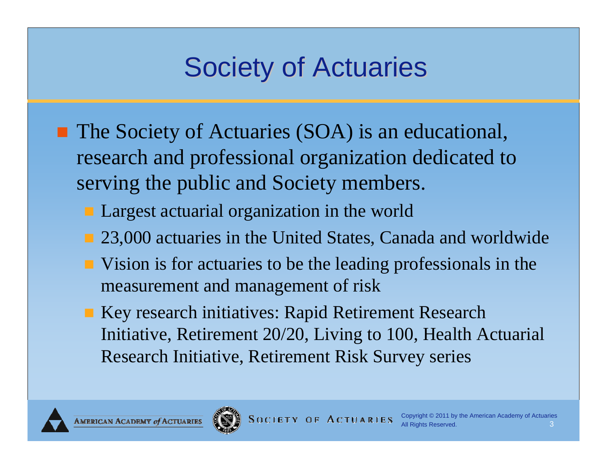# **Society of Actuaries**

- The Society of Actuaries (SOA) is an educational, research and professional organization dedicated to serving the public and Society members.
	- **Largest actuarial organization in the world**
	- 23,000 actuaries in the United States, Canada and worldwide
	- Vision is for actuaries to be the leading professionals in the measurement and management of risk
	- Key research initiatives: Rapid Retirement Research Initiative, Retirement 20/20, Living to 100, Health Actuarial Research Initiative, Retirement Risk Survey series



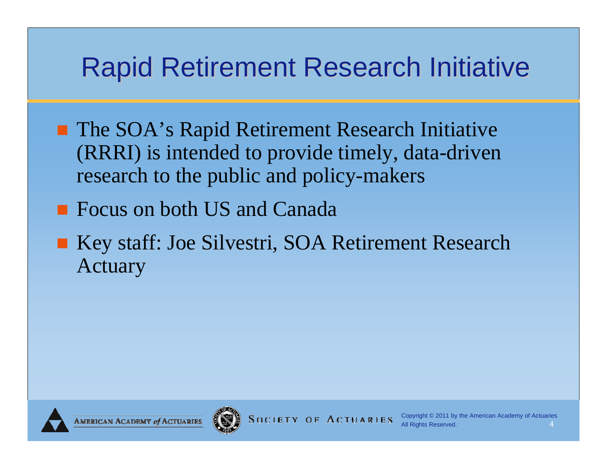### **Rapid Retirement Research Initiative**

- The SOA's Rapid Retirement Research Initiative (RRRI) is intended to provide timely, data-driven research to the public and policy-makers
- Focus on both US and Canada
- Key staff: Joe Silvestri, SOA Retirement Research Actuary

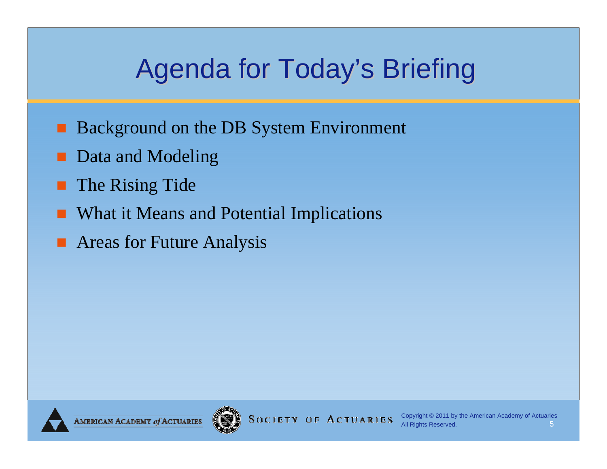# Agenda for Today's Briefing

- Background on the DB System Environment
- Data and Modeling
- The Rising Tide
- What it Means and Potential Implications
- Areas for Future Analysis

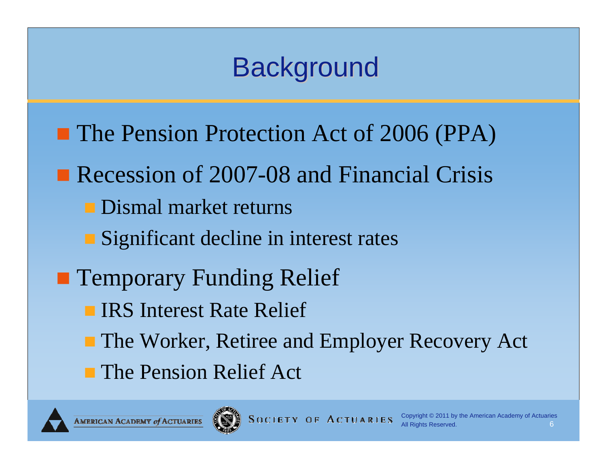## **Background**

- **The Pension Protection Act of 2006 (PPA)**
- Recession of 2007-08 and Financial Crisis
	- **Dismal market returns**
	- Significant decline in interest rates
- **Temporary Funding Relief** 
	- **IRS Interest Rate Relief**
	- The Worker, Retiree and Employer Recovery Act
	- **The Pension Relief Act**



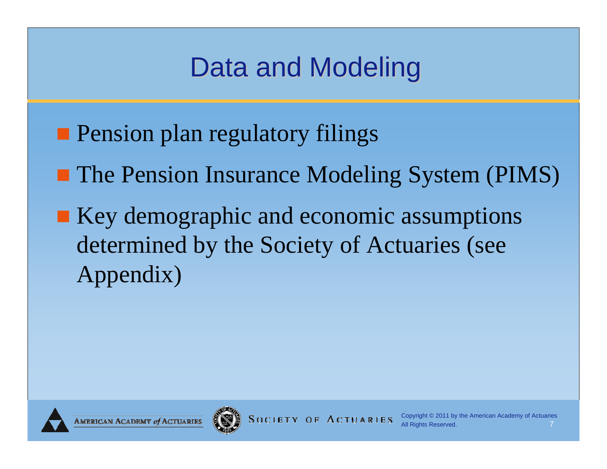# Data and Modeling

- **Pension plan regulatory filings**
- **The Pension Insurance Modeling System (PIMS)**
- Key demographic and economic assumptions determined by the Society of Actuaries (see Appendix)

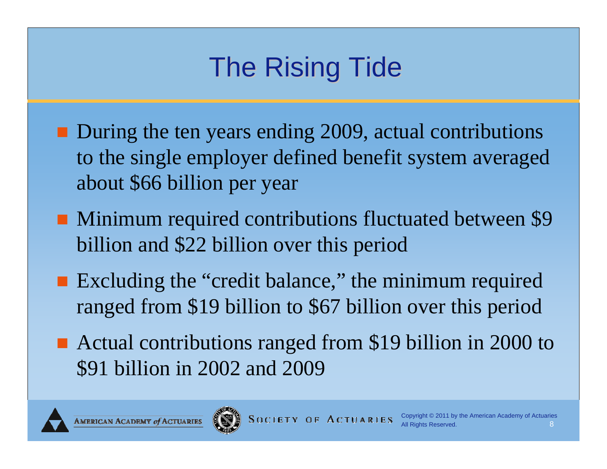# The Rising Tide

- During the ten years ending 2009, actual contributions to the single employer defined benefit system averaged about \$66 billion per year
- **Minimum required contributions fluctuated between \$9** billion and \$22 billion over this period
- Excluding the "credit balance," the minimum required ranged from \$19 billion to \$67 billion over this period
- Actual contributions ranged from \$19 billion in 2000 to \$91 billion in 2002 and 2009



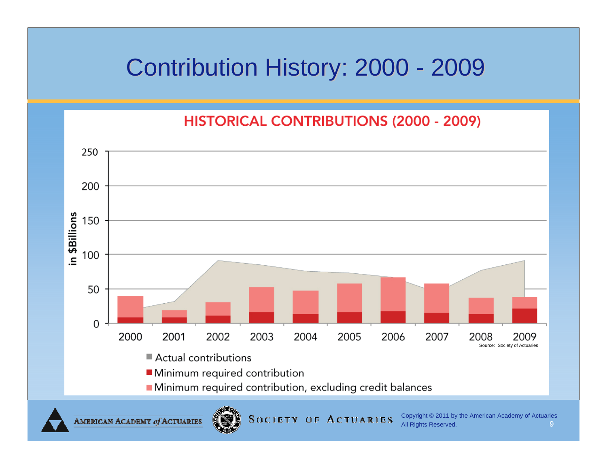#### Contribution History: 2000 - 2009

**HISTORICAL CONTRIBUTIONS (2000 - 2009)** 



**AMERICAN ACADEMY of ACTUARIES** 

**SOCIETY OF ACTUARIES**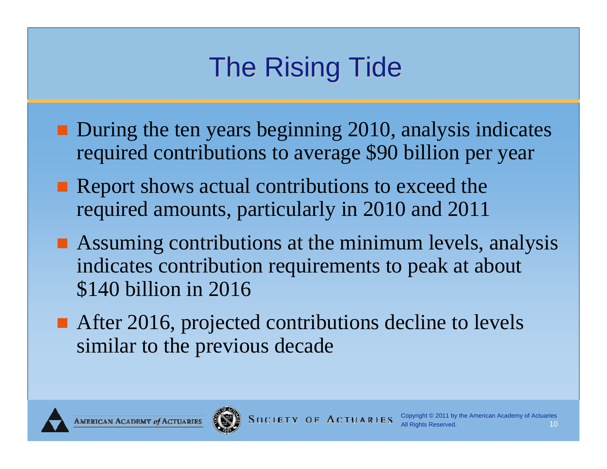# The Rising Tide

- **During the ten years beginning 2010, analysis indicates** required contributions to average \$90 billion per year
- Report shows actual contributions to exceed the required amounts, particularly in 2010 and 2011
- Assuming contributions at the minimum levels, analysis indicates contribution requirements to peak at about \$140 billion in 2016
- After 2016, projected contributions decline to levels similar to the previous decade



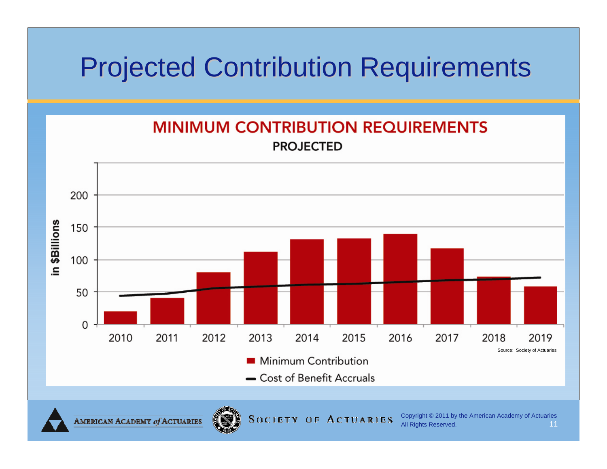#### Projected Contribution Requirements Projected Contribution Requirements



**SOCIETY OF ACTUARIES** 

AMERICAN ACADEMY of ACTUARIES

Copyright © 2011 by the American Academy of Actuaries All Rights Reserved. **11 11**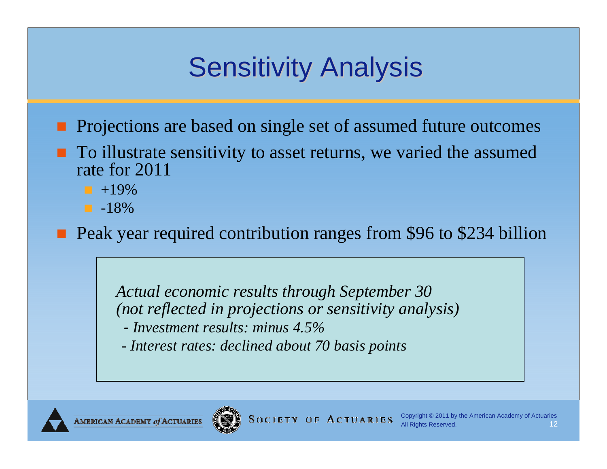# **Sensitivity Analysis**

- **Projections are based on single set of assumed future outcomes**
- **T** To illustrate sensitivity to asset returns, we varied the assumed rate for 2011
	- $-19%$
	- $-18%$

**Peak year required contribution ranges from \$96 to \$234 billion** 

*Actual economic results through September 30 (not reflected in projections or sensitivity analysis)*

- *- Investment results: minus 4.5%*
- *- Interest rates: declined about 70 basis points*



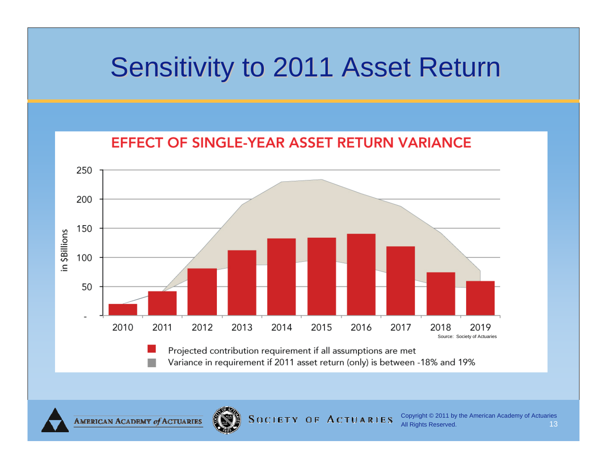#### Sensitivity to 2011 Asset Return





Variance in requirement if 2011 asset return (only) is between -18% and 19%

**AMERICAN ACADEMY of ACTUARIES** 

**SOCIETY OF ACTUARIES** 

Copyright © 2011 by the American Academy of Actuaries All Rights Reserved. **13**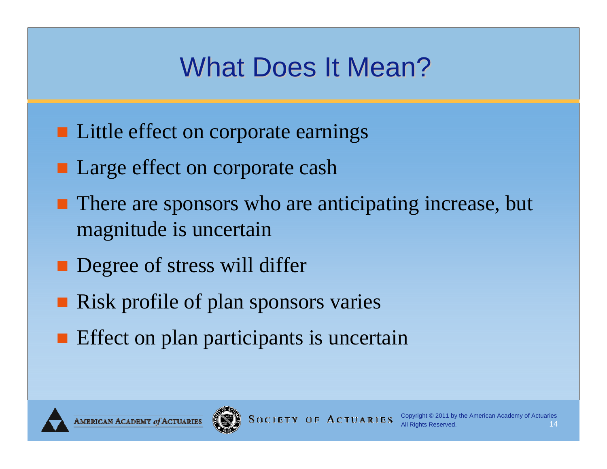## What Does It Mean?

- **Little effect on corporate earnings**
- Large effect on corporate cash
- **There are sponsors who are anticipating increase, but** magnitude is uncertain
- **Degree of stress will differ**
- **Risk profile of plan sponsors varies**
- **Effect on plan participants is uncertain**

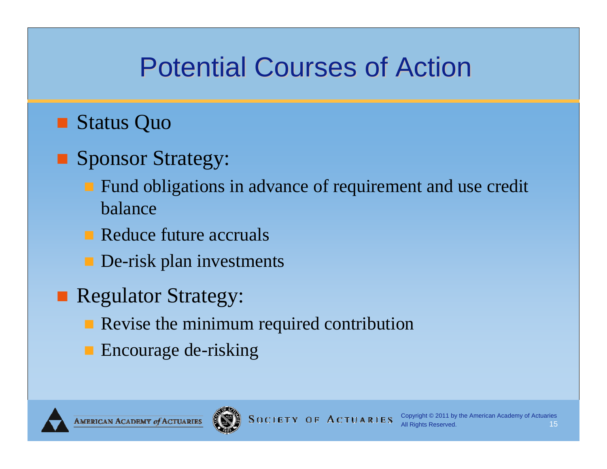## **Potential Courses of Action**

#### ■ Status Quo

- **Sponsor Strategy:** 
	- Fund obligations in advance of requirement and use credit balance
	- Reduce future accruals
	- **De-risk plan investments**
- **Regulator Strategy:** 
	- Revise the minimum required contribution
	- **Encourage de-risking**

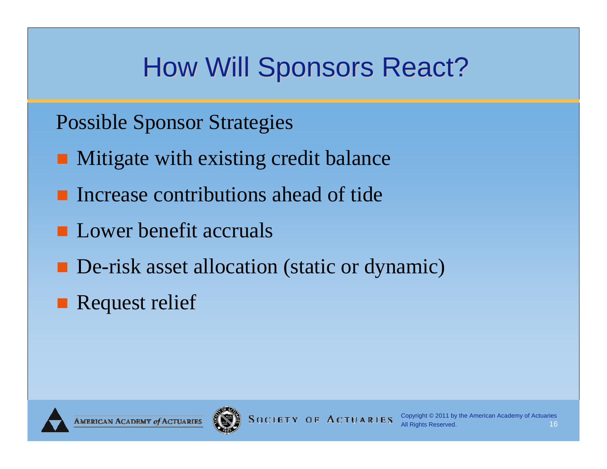# How Will Sponsors React?

Possible Sponsor Strategies

- **Mitigate with existing credit balance**
- **Increase contributions ahead of tide**
- **Lower benefit accruals**
- **De-risk asset allocation (static or dynamic)**
- **Request relief**

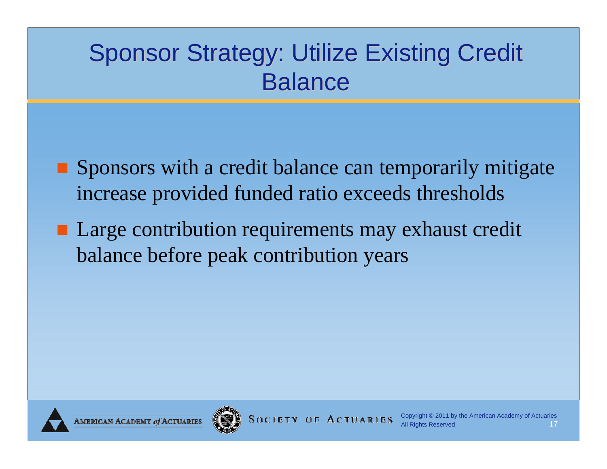#### Sponsor Strategy: Utilize Existing Credit Balance

- Sponsors with a credit balance can temporarily mitigate increase provided funded ratio exceeds thresholds
- Large contribution requirements may exhaust credit balance before peak contribution years

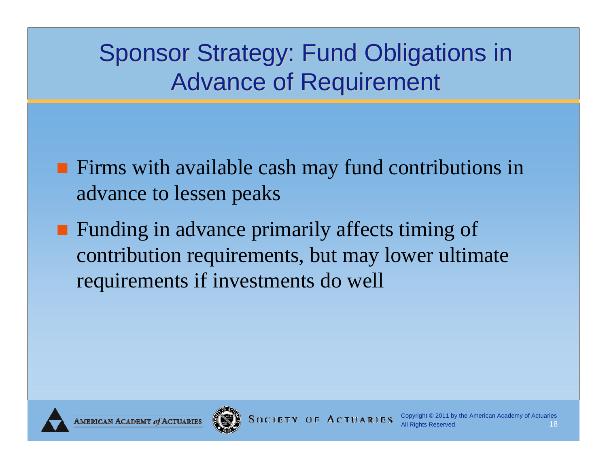#### Sponsor Strategy: Fund Obligations in Advance of Requirement

- **Firms with available cash may fund contributions in** advance to lessen peaks
- **Funding in advance primarily affects timing of** contribution requirements, but may lower ultimate requirements if investments do well

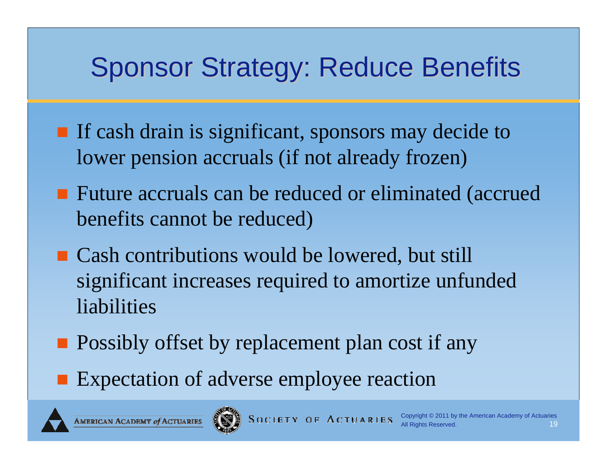## Sponsor Strategy: Reduce Benefits

- **If cash drain is significant, sponsors may decide to** lower pension accruals (if not already frozen)
- Future accruals can be reduced or eliminated (accrued benefits cannot be reduced)
- Cash contributions would be lowered, but still significant increases required to amortize unfunded liabilities
- **Possibly offset by replacement plan cost if any**
- **Expectation of adverse employee reaction**





**SOCIETY OF ACTUARIES**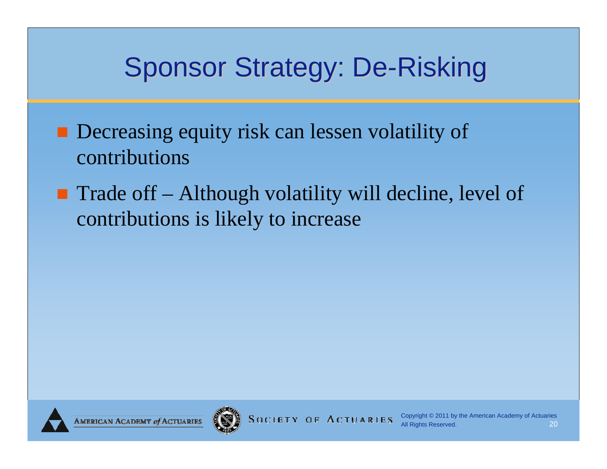### Sponsor Strategy: De-Risking

- **Decreasing equity risk can lessen volatility of** contributions
- $\blacksquare$  Trade off Although volatility will decline, level of contributions is likely to increase

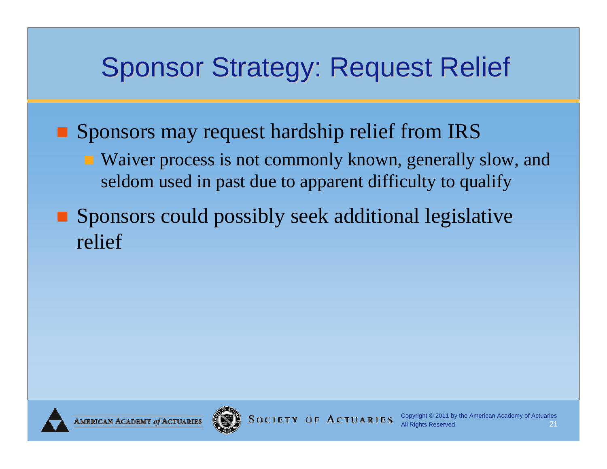#### Sponsor Strategy: Request Relief

**Sponsors may request hardship relief from IRS** 

- Waiver process is not commonly known, generally slow, and seldom used in past due to apparent difficulty to qualify
- **Sponsors could possibly seek additional legislative** relief

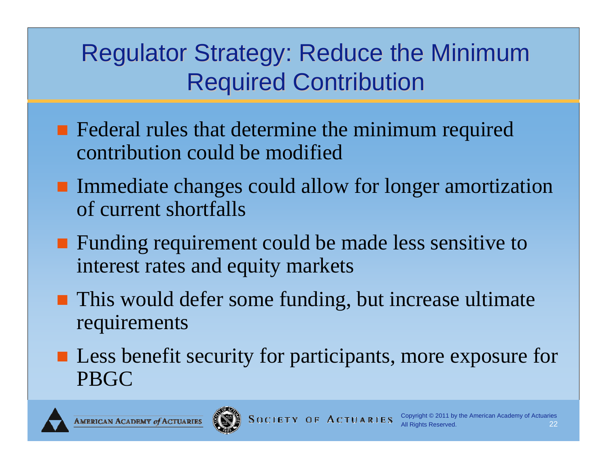#### Regulator Strategy: Reduce the Minimum **Required Contribution**

- **Federal rules that determine the minimum required** contribution could be modified
- **Immediate changes could allow for longer amortization** of current shortfalls
- Funding requirement could be made less sensitive to interest rates and equity markets
- **This would defer some funding, but increase ultimate** requirements
- Less benefit security for participants, more exposure for PBGC

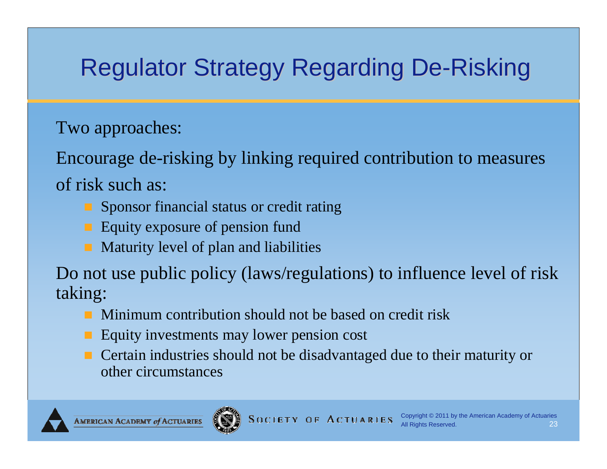#### Regulator Strategy Regarding De-Risking

Two approaches:

Encourage de-risking by linking required contribution to measures of risk such as:

- **Sponsor financial status or credit rating**
- **Equity exposure of pension fund**
- **Maturity level of plan and liabilities**

Do not use public policy (laws/regulations) to influence level of risk taking:

- Minimum contribution should not be based on credit risk
- Equity investments may lower pension cost
- **Certain industries should not be disadvantaged due to their maturity or** other circumstances

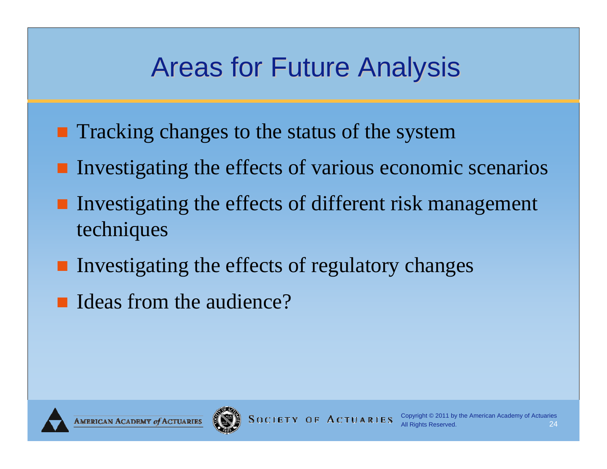## Areas for Future Analysis

- **Tracking changes to the status of the system**
- **Investigating the effects of various economic scenarios**
- **Investigating the effects of different risk management** techniques
- **Investigating the effects of regulatory changes**
- Ideas from the audience?

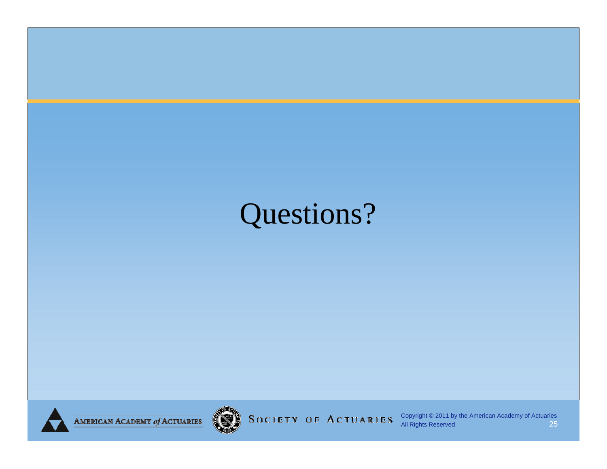# Questions?





SOCIETY OF ACTUARIES

Copyright © 2011 by the American Academy of Actuaries All Rights Reserved. 25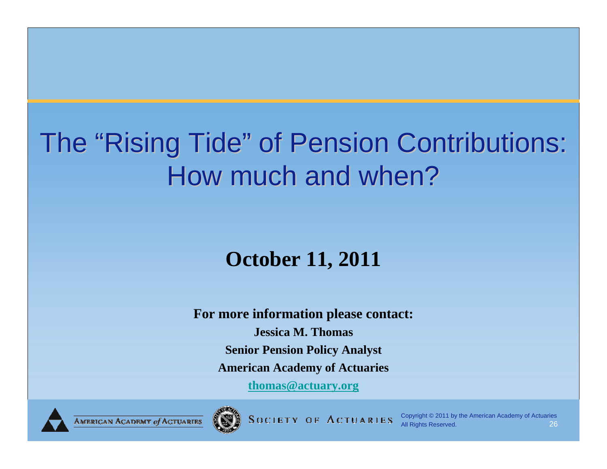# The "Rising Tide" of Pension Contributions: How much and when?

#### **October 11, 2011**

**For more information please contact: Jessica M. ThomasSenior Pension Policy Analyst American Academy of Actuaries**

**thomas@actuary.org**



**SOCIETY OF ACTUARIES** 

Copyright © 2011 by the American Academy of Actuaries All Rights Reserved. 26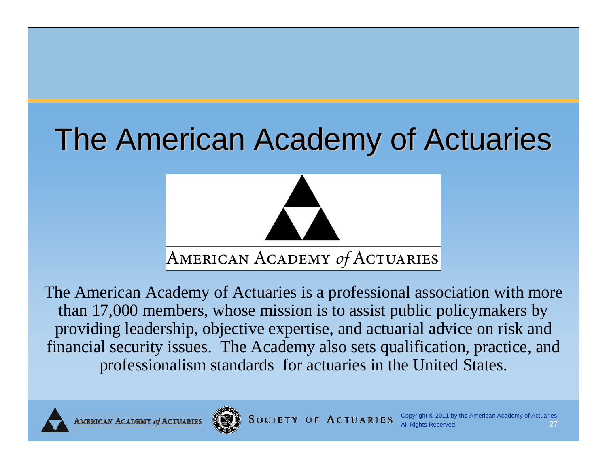# The American Academy of Actuaries



The American Academy of Actuaries is a professional association with more than 17,000 members, whose mission is to assist public policymakers by providing leadership, objective expertise, and actuarial advice on risk and financial security issues. The Academy also sets qualification, practice, and professionalism standards for actuaries in the United States.



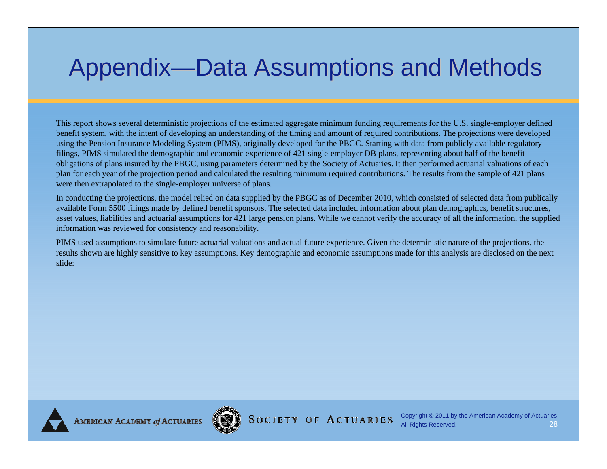#### Appendix—Data Assumptions and Methods

This report shows several deterministic projections of the estimated aggregate minimum funding requirements for the U.S. single-employer defined benefit system, with the intent of developing an understanding of the timing and amount of required contributions. The projections were developed using the Pension Insurance Modeling System (PIMS), originally developed for the PBGC. Starting with data from publicly available regulatory filings, PIMS simulated the demographic and economic experience of 421 single-employer DB plans, representing about half of the benefit obligations of plans insured by the PBGC, using parameters determined by the Society of Actuaries. It then performed actuarial valuations of each plan for each year of the projection period and calculated the resulting minimum required contributions. The results from the sample of 421 plans were then extrapolated to the single-employer universe of plans.

In conducting the projections, the model relied on data supplied by the PBGC as of December 2010, which consisted of selected data from publically available Form 5500 filings made by defined benefit sponsors. The selected data included information about plan demographics, benefit structures, asset values, liabilities and actuarial assumptions for 421 large pension plans. While we cannot verify the accuracy of all the information, the supplied information was reviewed for consistency and reasonability.

PIMS used assumptions to simulate future actuarial valuations and actual future experience. Given the deterministic nature of the projections, the results shown are highly sensitive to key assumptions. Key demographic and economic assumptions made for this analysis are disclosed on the next slide:



**AMERICAN ACADEMY of ACTUARIES** 

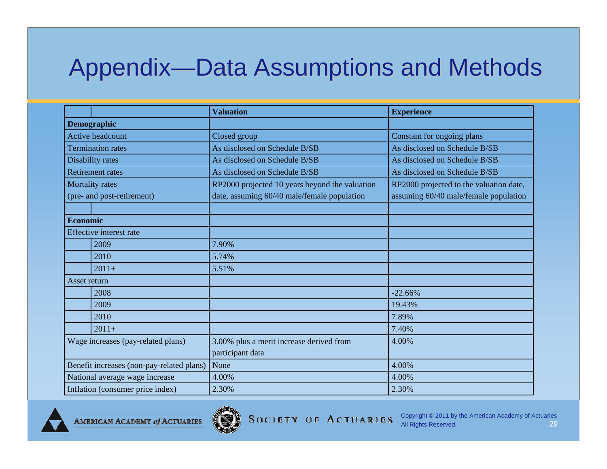#### Appendix-Data Assumptions and Methods

|                                                      |         | <b>Valuation</b>                                                                              | <b>Experience</b>                                                                |
|------------------------------------------------------|---------|-----------------------------------------------------------------------------------------------|----------------------------------------------------------------------------------|
| Demographic                                          |         |                                                                                               |                                                                                  |
| <b>Active headcount</b>                              |         | Closed group                                                                                  | Constant for ongoing plans                                                       |
| <b>Termination rates</b>                             |         | As disclosed on Schedule B/SB                                                                 | As disclosed on Schedule B/SB                                                    |
| Disability rates                                     |         | As disclosed on Schedule B/SB                                                                 | As disclosed on Schedule B/SB                                                    |
| <b>Retirement rates</b>                              |         | As disclosed on Schedule B/SB                                                                 | As disclosed on Schedule B/SB                                                    |
| <b>Mortality rates</b><br>(pre- and post-retirement) |         | RP2000 projected 10 years beyond the valuation<br>date, assuming 60/40 male/female population | RP2000 projected to the valuation date,<br>assuming 60/40 male/female population |
|                                                      |         |                                                                                               |                                                                                  |
| <b>Economic</b>                                      |         |                                                                                               |                                                                                  |
| <b>Effective</b> interest rate                       |         |                                                                                               |                                                                                  |
|                                                      | 2009    | 7.90%                                                                                         |                                                                                  |
|                                                      | 2010    | 5.74%                                                                                         |                                                                                  |
|                                                      | $2011+$ | 5.51%                                                                                         |                                                                                  |
| Asset return                                         |         |                                                                                               |                                                                                  |
|                                                      | 2008    |                                                                                               | $-22.66%$                                                                        |
|                                                      | 2009    |                                                                                               | 19.43%                                                                           |
|                                                      | 2010    |                                                                                               | 7.89%                                                                            |
|                                                      | $2011+$ |                                                                                               | 7.40%                                                                            |
| Wage increases (pay-related plans)                   |         | 3.00% plus a merit increase derived from<br>participant data                                  | 4.00%                                                                            |
| Benefit increases (non-pay-related plans)            |         | None                                                                                          | 4.00%                                                                            |
| National average wage increase                       |         | 4.00%                                                                                         | 4.00%                                                                            |
| Inflation (consumer price index)                     |         | 2.30%                                                                                         | 2.30%                                                                            |